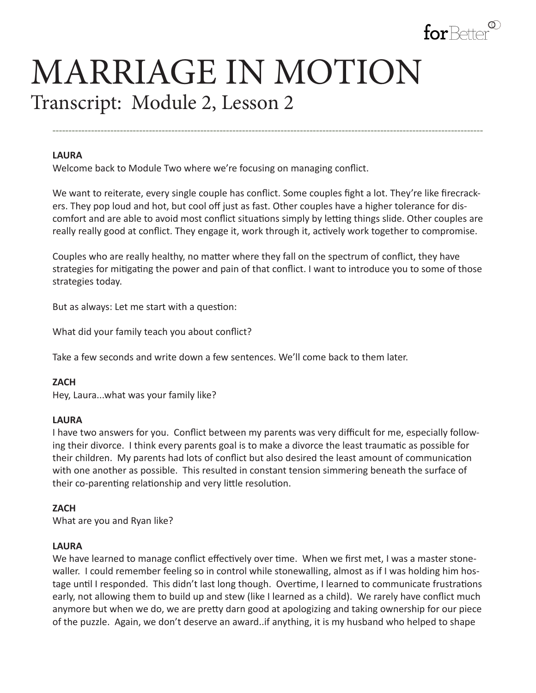

# MARRIAGE IN MOTION Transcript: Module 2, Lesson 2

#### **LAURA**

Welcome back to Module Two where we're focusing on managing conflict.

We want to reiterate, every single couple has conflict. Some couples fight a lot. They're like firecrackers. They pop loud and hot, but cool off just as fast. Other couples have a higher tolerance for discomfort and are able to avoid most conflict situations simply by letting things slide. Other couples are really really good at conflict. They engage it, work through it, actively work together to compromise.

**--------------------------------------------------------------------------------------------------------------------------------------**

Couples who are really healthy, no matter where they fall on the spectrum of conflict, they have strategies for mitigating the power and pain of that conflict. I want to introduce you to some of those strategies today.

But as always: Let me start with a question:

What did your family teach you about conflict?

Take a few seconds and write down a few sentences. We'll come back to them later.

#### **ZACH**

Hey, Laura...what was your family like?

#### **LAURA**

I have two answers for you. Conflict between my parents was very difficult for me, especially following their divorce. I think every parents goal is to make a divorce the least traumatic as possible for their children. My parents had lots of conflict but also desired the least amount of communication with one another as possible. This resulted in constant tension simmering beneath the surface of their co-parenting relationship and very little resolution.

### **ZACH**

What are you and Ryan like?

### **LAURA**

We have learned to manage conflict effectively over time. When we first met, I was a master stonewaller. I could remember feeling so in control while stonewalling, almost as if I was holding him hostage until I responded. This didn't last long though. Overtime, I learned to communicate frustrations early, not allowing them to build up and stew (like I learned as a child). We rarely have conflict much anymore but when we do, we are pretty darn good at apologizing and taking ownership for our piece of the puzzle. Again, we don't deserve an award..if anything, it is my husband who helped to shape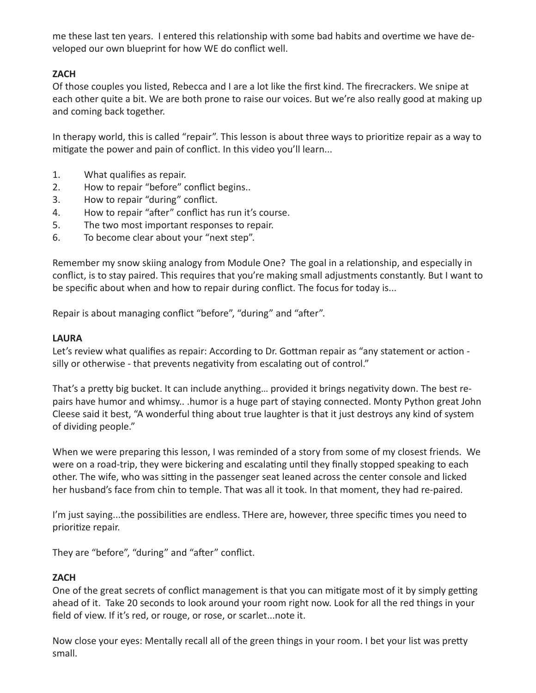me these last ten years. I entered this relationship with some bad habits and overtime we have developed our own blueprint for how WE do conflict well.

# **ZACH**

Of those couples you listed, Rebecca and I are a lot like the first kind. The firecrackers. We snipe at each other quite a bit. We are both prone to raise our voices. But we're also really good at making up and coming back together.

In therapy world, this is called "repair". This lesson is about three ways to prioritize repair as a way to mitigate the power and pain of conflict. In this video you'll learn...

- 1. What qualifies as repair.
- 2. How to repair "before" conflict begins..
- 3. How to repair "during" conflict.
- 4. How to repair "after" conflict has run it's course.
- 5. The two most important responses to repair.
- 6. To become clear about your "next step".

Remember my snow skiing analogy from Module One? The goal in a relationship, and especially in conflict, is to stay paired. This requires that you're making small adjustments constantly. But I want to be specific about when and how to repair during conflict. The focus for today is...

Repair is about managing conflict "before", "during" and "after".

# **LAURA**

Let's review what qualifies as repair: According to Dr. Gottman repair as "any statement or action silly or otherwise - that prevents negativity from escalating out of control."

That's a pretty big bucket. It can include anything… provided it brings negativity down. The best repairs have humor and whimsy.. .humor is a huge part of staying connected. Monty Python great John Cleese said it best, "A wonderful thing about true laughter is that it just destroys any kind of system of dividing people."

When we were preparing this lesson, I was reminded of a story from some of my closest friends. We were on a road-trip, they were bickering and escalating until they finally stopped speaking to each other. The wife, who was sitting in the passenger seat leaned across the center console and licked her husband's face from chin to temple. That was all it took. In that moment, they had re-paired.

I'm just saying...the possibilities are endless. THere are, however, three specific times you need to prioritize repair.

They are "before", "during" and "after" conflict.

# **ZACH**

One of the great secrets of conflict management is that you can mitigate most of it by simply getting ahead of it. Take 20 seconds to look around your room right now. Look for all the red things in your field of view. If it's red, or rouge, or rose, or scarlet...note it.

Now close your eyes: Mentally recall all of the green things in your room. I bet your list was pretty small.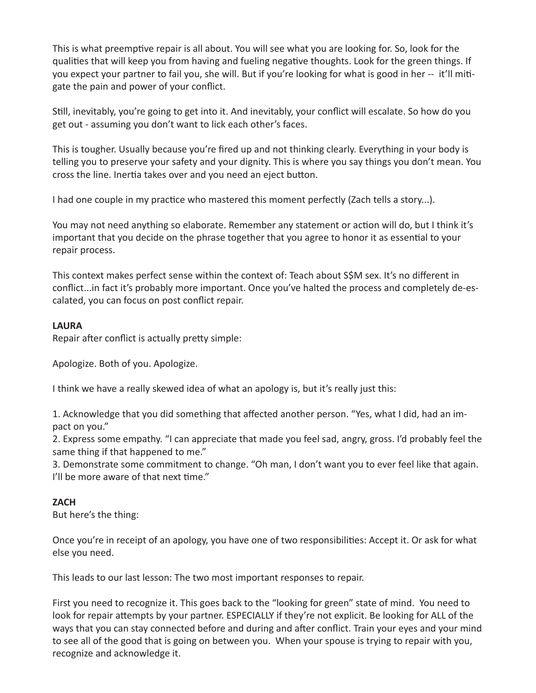This is what preemptive repair is all about. You will see what you are looking for. So, look for the qualities that will keep you from having and fueling negative thoughts. Look for the green things. If you expect your partner to fail you, she will. But if you're looking for what is good in her -- it'll mitigate the pain and power of your conflict.

Still, inevitably, you're going to get into it. And inevitably, your conflict will escalate. So how do you get out - assuming you don't want to lick each other's faces.

This is tougher. Usually because you're fired up and not thinking clearly. Everything in your body is telling you to preserve your safety and your dignity. This is where you say things you don't mean. You cross the line. Inertia takes over and you need an eject button.

I had one couple in my practice who mastered this moment perfectly (Zach tells a story...).

You may not need anything so elaborate. Remember any statement or action will do, but I think it's important that you decide on the phrase together that you agree to honor it as essential to your repair process.

This context makes perfect sense within the context of: Teach about S\$M sex. It's no different in conflict...in fact it's probably more important. Once you've halted the process and completely de-escalated, you can focus on post conflict repair.

## **LAURA**

Repair after conflict is actually pretty simple:

Apologize. Both of you. Apologize.

I think we have a really skewed idea of what an apology is, but it's really just this:

1. Acknowledge that you did something that affected another person. "Yes, what I did, had an impact on you."

2. Express some empathy. "I can appreciate that made you feel sad, angry, gross. I'd probably feel the same thing if that happened to me."

3. Demonstrate some commitment to change. "Oh man, I don't want you to ever feel like that again. I'll be more aware of that next time."

# **ZACH**

But here's the thing:

Once you're in receipt of an apology, you have one of two responsibilities: Accept it. Or ask for what else you need.

This leads to our last lesson: The two most important responses to repair.

First you need to recognize it. This goes back to the "looking for green" state of mind. You need to look for repair attempts by your partner. ESPECIALLY if they're not explicit. Be looking for ALL of the ways that you can stay connected before and during and after conflict. Train your eyes and your mind to see all of the good that is going on between you. When your spouse is trying to repair with you, recognize and acknowledge it.